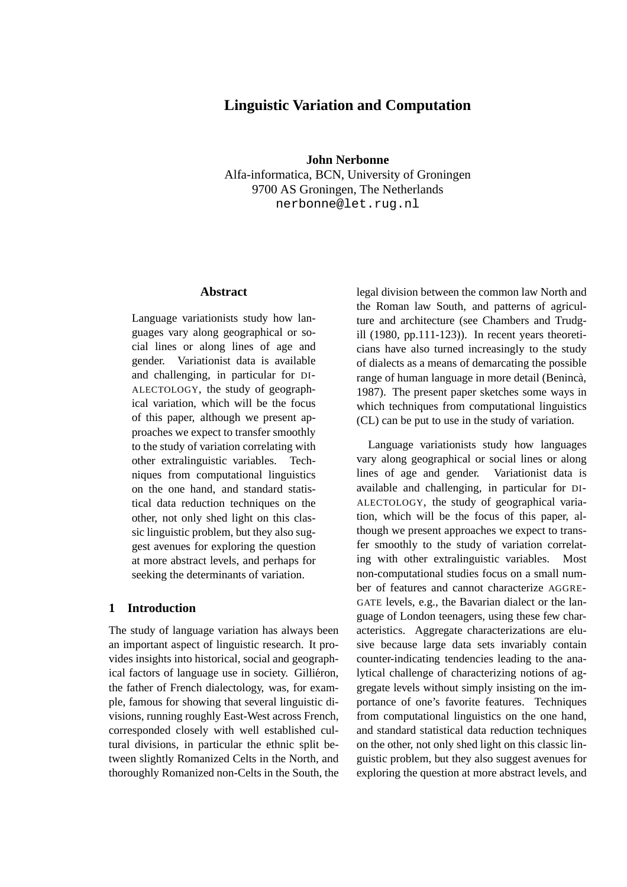# **Linguistic Variation and Computation**

**John Nerbonne** Alfa-informatica, BCN, University of Groningen 9700 AS Groningen, The Netherlands nerbonne@let.rug.nl

# **Abstract**

Language variationists study how languages vary along geographical or social lines or along lines of age and gender. Variationist data is available and challenging, in particular for DI-ALECTOLOGY, the study of geographical variation, which will be the focus of this paper, although we present approaches we expect to transfer smoothly to the study of variation correlating with other extralinguistic variables. Techniques from computational linguistics on the one hand, and standard statistical data reduction techniques on the other, not only shed light on this classic linguistic problem, but they also suggest avenues for exploring the question at more abstract levels, and perhaps for seeking the determinants of variation.

#### **1 Introduction**

The study of language variation has always been an important aspect of linguistic research. It provides insights into historical, social and geographical factors of language use in society. Gilliéron, the father of French dialectology, was, for example, famous for showing that several linguistic divisions, running roughly East-West across French, corresponded closely with well established cultural divisions, in particular the ethnic split between slightly Romanized Celts in the North, and thoroughly Romanized non-Celts in the South, the legal division between the common law North and the Roman law South, and patterns of agriculture and architecture (see Chambers and Trudgill (1980, pp.111-123)). In recent years theoreticians have also turned increasingly to the study of dialects as a means of demarcating the possible range of human language in more detail (Benincà, 1987). The present paper sketches some ways in which techniques from computational linguistics (CL) can be put to use in the study of variation.

Language variationists study how languages vary along geographical or social lines or along lines of age and gender. Variationist data is available and challenging, in particular for DI-ALECTOLOGY, the study of geographical variation, which will be the focus of this paper, although we present approaches we expect to transfer smoothly to the study of variation correlating with other extralinguistic variables. Most non-computational studies focus on a small number of features and cannot characterize AGGRE-GATE levels, e.g., the Bavarian dialect or the language of London teenagers, using these few characteristics. Aggregate characterizations are elusive because large data sets invariably contain counter-indicating tendencies leading to the analytical challenge of characterizing notions of aggregate levels without simply insisting on the importance of one's favorite features. Techniques from computational linguistics on the one hand, and standard statistical data reduction techniques on the other, not only shed light on this classic linguistic problem, but they also suggest avenues for exploring the question at more abstract levels, and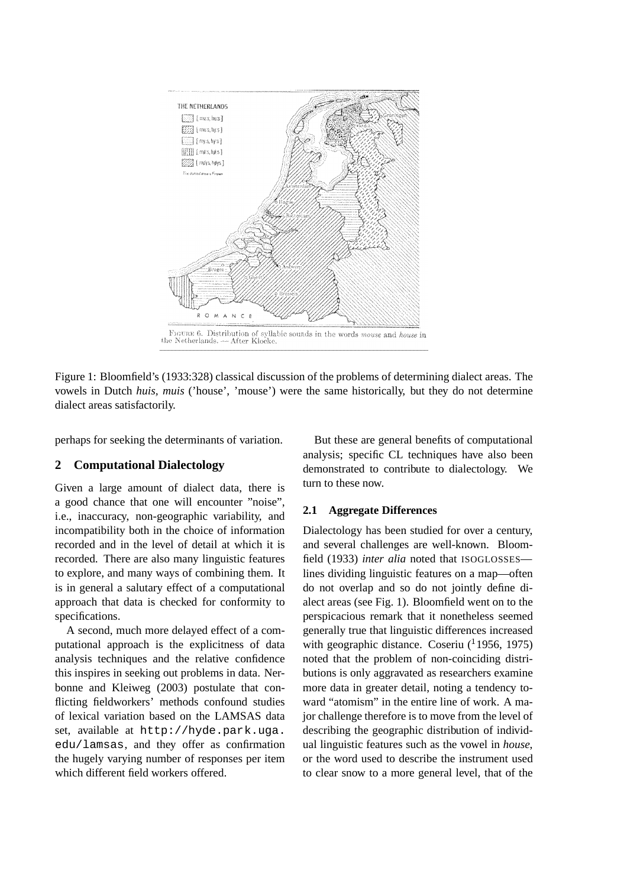

Figure 1: Bloomfield's (1933:328) classical discussion of the problems of determining dialect areas. The vowels in Dutch *huis, muis* ('house', 'mouse') were the same historically, but they do not determine dialect areas satisfactorily.

perhaps for seeking the determinants of variation.

### **2 Computational Dialectology**

Given a large amount of dialect data, there is a good chance that one will encounter "noise", i.e., inaccuracy, non-geographic variability, and incompatibility both in the choice of information recorded and in the level of detail at which it is recorded. There are also many linguistic features to explore, and many ways of combining them. It is in general a salutary effect of a computational approach that data is checked for conformity to specifications.

A second, much more delayed effect of a computational approach is the explicitness of data analysis techniques and the relative confidence this inspires in seeking out problems in data. Nerbonne and Kleiweg (2003) postulate that conflicting fieldworkers' methods confound studies of lexical variation based on the LAMSAS data set, available at http://hyde.park.uga. edu/lamsas, and they offer as confirmation the hugely varying number of responses per item which different field workers offered.

But these are general benefits of computational analysis; specific CL techniques have also been demonstrated to contribute to dialectology. We turn to these now.

# **2.1 Aggregate Differences**

Dialectology has been studied for over a century, and several challenges are well-known. Bloomfield (1933) *inter alia* noted that ISOGLOSSES lines dividing linguistic features on a map—often do not overlap and so do not jointly define dialect areas (see Fig. 1). Bloomfield went on to the perspicacious remark that it nonetheless seemed generally true that linguistic differences increased with geographic distance. Coseriu  $(11956, 1975)$ noted that the problem of non-coinciding distributions is only aggravated as researchers examine more data in greater detail, noting a tendency toward "atomism" in the entire line of work. A major challenge therefore is to move from the level of describing the geographic distribution of individual linguistic features such as the vowel in *house*, or the word used to describe the instrument used to clear snow to a more general level, that of the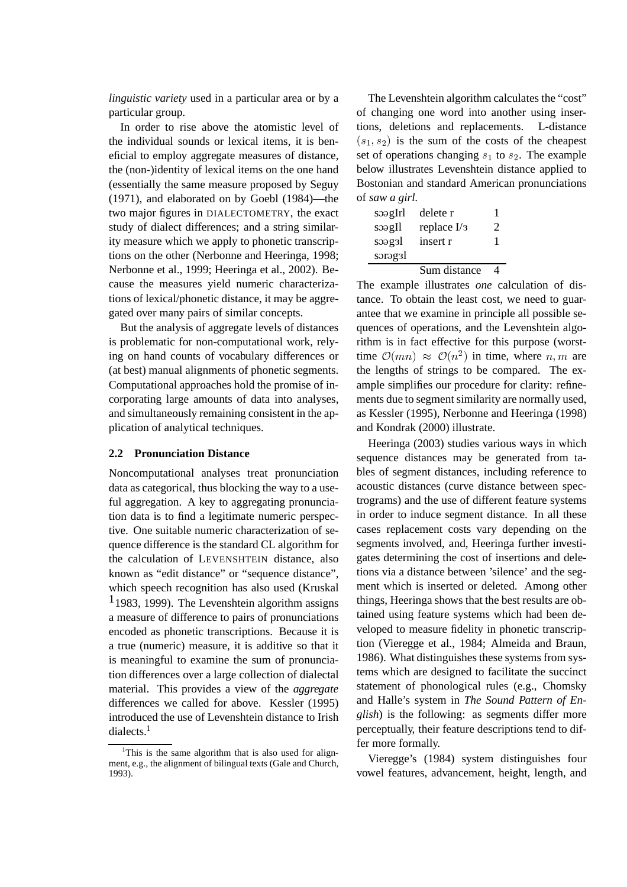*linguistic variety* used in a particular area or by a particular group.

In order to rise above the atomistic level of the individual sounds or lexical items, it is beneficial to employ aggregate measures of distance, the (non-)identity of lexical items on the one hand (essentially the same measure proposed by Seguy (1971), and elaborated on by Goebl (1984)—the two major figures in DIALECTOMETRY, the exact study of dialect differences; and a string similarity measure which we apply to phonetic transcriptions on the other (Nerbonne and Heeringa, 1998; Nerbonne et al., 1999; Heeringa et al., 2002). Because the measures yield numeric characterizations of lexical/phonetic distance, it may be aggregated over many pairs of similar concepts.

But the analysis of aggregate levels of distances is problematic for non-computational work, relying on hand counts of vocabulary differences or (at best) manual alignments of phonetic segments. Computational approaches hold the promise of incorporating large amounts of data into analyses, and simultaneously remaining consistent in the application of analytical techniques.

#### **2.2 Pronunciation Distance**

Noncomputational analyses treat pronunciation data as categorical, thus blocking the way to a useful aggregation. A key to aggregating pronunciation data is to find a legitimate numeric perspective. One suitable numeric characterization of sequence difference is the standard CL algorithm for the calculation of LEVENSHTEIN distance, also known as "edit distance" or "sequence distance", which speech recognition has also used (Kruskal  $1$ 1983, 1999). The Levenshtein algorithm assigns a measure of difference to pairs of pronunciations encoded as phonetic transcriptions. Because it is a true (numeric) measure, it is additive so that it is meaningful to examine the sum of pronunciation differences over a large collection of dialectal material. This provides a view of the *aggregate* differences we called for above. Kessler (1995) introduced the use of Levenshtein distance to Irish dialects.<sup>1</sup>

The Levenshtein algorithm calculates the "cost" of changing one word into another using insertions, deletions and replacements. L-distance  $(s_1, s_2)$  is the sum of the costs of the cheapest set of operations changing  $s_1$  to  $s_2$ . The example below illustrates Levenshtein distance applied to Bostonian and standard American pronunciations of *saw a girl*.

| soagIrl<br>s | delete r<br>replace $I/3$ | 1<br>$\mathcal{D}_{\cdot}$ |
|--------------|---------------------------|----------------------------|
| soag3l       | insert r                  | 1                          |
| sorag31      |                           |                            |
|              | Sum distance              |                            |

The example illustrates *one* calculation of distance. To obtain the least cost, we need to guarantee that we examine in principle all possible sequences of operations, and the Levenshtein algorithm is in fact effective for this purpose (worsttime  $\mathcal{O}(mn) \approx \mathcal{O}(n^2)$  in time \_ , . . , \_ \_ \_ \_ \_ \_ \_ \_ , . . .  $(n^2)$  in time, where  $n, m$  are the lengths of strings to be compared. The example simplifies our procedure for clarity: refinements due to segment similarity are normally used, as Kessler (1995), Nerbonne and Heeringa (1998) and Kondrak (2000) illustrate.

Heeringa (2003) studies various ways in which sequence distances may be generated from tables of segment distances, including reference to acoustic distances (curve distance between spectrograms) and the use of different feature systems in order to induce segment distance. In all these cases replacement costs vary depending on the segments involved, and, Heeringa further investigates determining the cost of insertions and deletions via a distance between 'silence' and the segment which is inserted or deleted. Among other things, Heeringa shows that the best results are obtained using feature systems which had been developed to measure fidelity in phonetic transcription (Vieregge et al., 1984; Almeida and Braun, 1986). What distinguishes these systems from systems which are designed to facilitate the succinct statement of phonological rules (e.g., Chomsky and Halle's system in *The Sound Pattern of English*) is the following: as segments differ more perceptually, their feature descriptions tend to differ more formally.

Vieregge's (1984) system distinguishes four vowel features, advancement, height, length, and

<sup>&</sup>lt;sup>1</sup>This is the same algorithm that is also used for alignment, e.g., the alignment of bilingual texts (Gale and Church, 1993).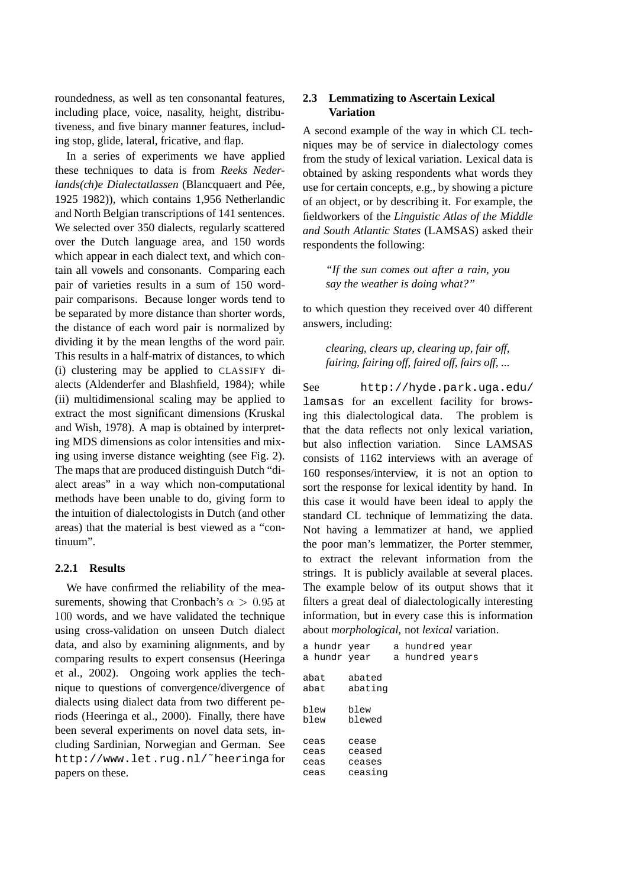roundedness, as well as ten consonantal features, including place, voice, nasality, height, distributiveness, and five binary manner features, including stop, glide, lateral, fricative, and flap.

In a series of experiments we have applied these techniques to data is from *Reeks Nederlands(ch)e Dialectatlassen* (Blancquaert and Pée, 1925 1982)), which contains 1,956 Netherlandic and North Belgian transcriptions of 141 sentences. We selected over 350 dialects, regularly scattered over the Dutch language area, and 150 words which appear in each dialect text, and which contain all vowels and consonants. Comparing each pair of varieties results in a sum of 150 wordpair comparisons. Because longer words tend to be separated by more distance than shorter words, the distance of each word pair is normalized by dividing it by the mean lengths of the word pair. This results in a half-matrix of distances, to which (i) clustering may be applied to CLASSIFY dialects (Aldenderfer and Blashfield, 1984); while (ii) multidimensional scaling may be applied to extract the most significant dimensions (Kruskal and Wish, 1978). A map is obtained by interpreting MDS dimensions as color intensities and mixing using inverse distance weighting (see Fig. 2). The maps that are produced distinguish Dutch "dialect areas" in a way which non-computational methods have been unable to do, giving form to the intuition of dialectologists in Dutch (and other areas) that the material is best viewed as a "continuum".

#### **2.2.1 Results**

We have confirmed the reliability of the measurements, showing that Cronbach's  $\alpha > 0.95$  at 100 words, and we have validated the technique using cross-validation on unseen Dutch dialect data, and also by examining alignments, and by comparing results to expert consensus (Heeringa et al., 2002). Ongoing work applies the technique to questions of convergence/divergence of dialects using dialect data from two different periods (Heeringa et al., 2000). Finally, there have been several experiments on novel data sets, including Sardinian, Norwegian and German. See http://www.let.rug.nl/˜heeringa for papers on these.

# **2.3 Lemmatizing to Ascertain Lexical Variation**

A second example of the way in which CL techniques may be of service in dialectology comes from the study of lexical variation. Lexical data is obtained by asking respondents what words they use for certain concepts, e.g., by showing a picture of an object, or by describing it. For example, the fieldworkers of the *Linguistic Atlas of the Middle and South Atlantic States* (LAMSAS) asked their respondents the following:

*"If the sun comes out after a rain, you say the weather is doing what?"*

to which question they received over 40 different answers, including:

*clearing, clears up, clearing up, fair off, fairing, fairing off, faired off, fairs off, ...*

See http://hyde.park.uga.edu/ lamsas for an excellent facility for browsing this dialectological data. The problem is that the data reflects not only lexical variation, but also inflection variation. Since LAMSAS consists of 1162 interviews with an average of 160 responses/interview, it is not an option to sort the response for lexical identity by hand. In this case it would have been ideal to apply the standard CL technique of lemmatizing the data. Not having a lemmatizer at hand, we applied the poor man's lemmatizer, the Porter stemmer, to extract the relevant information from the strings. It is publicly available at several places. The example below of its output shows that it filters a great deal of dialectologically interesting information, but in every case this is information about *morphological*, not *lexical* variation.

| a hundr year<br>a hundr year |                           | a hundred year<br>a hundred years |  |
|------------------------------|---------------------------|-----------------------------------|--|
| abat<br>abat                 | abated<br>abating         |                                   |  |
| blew<br>blew                 | blew<br>blewed            |                                   |  |
| ceas<br>ceas<br>ceas         | cease<br>ceased<br>ceases |                                   |  |
| ceas                         | ceasing                   |                                   |  |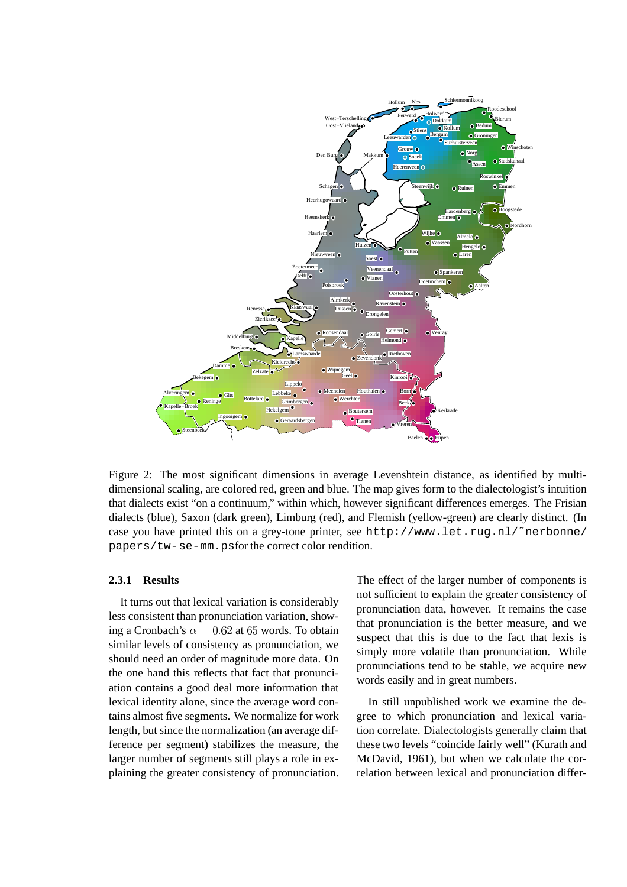

Figure 2: The most significant dimensions in average Levenshtein distance, as identified by multidimensional scaling, are colored red, green and blue. The map gives form to the dialectologist's intuition that dialects exist "on a continuum," within which, however significant differences emerges. The Frisian dialects (blue), Saxon (dark green), Limburg (red), and Flemish (yellow-green) are clearly distinct. (In case you have printed this on a grey-tone printer, see http://www.let.rug.nl/˜nerbonne/ papers/tw-se-mm.psfor the correct color rendition.

#### **2.3.1 Results**

It turns out that lexical variation is considerably less consistent than pronunciation variation, showing a Cronbach's  $\alpha = 0.62$  at 65 words. To obtain similar levels of consistency as pronunciation, we should need an order of magnitude more data. On the one hand this reflects that fact that pronunciation contains a good deal more information that lexical identity alone, since the average word contains almost five segments. We normalize for work length, but since the normalization (an average difference per segment) stabilizes the measure, the larger number of segments still plays a role in explaining the greater consistency of pronunciation.

The effect of the larger number of components is not sufficient to explain the greater consistency of pronunciation data, however. It remains the case that pronunciation is the better measure, and we suspect that this is due to the fact that lexis is simply more volatile than pronunciation. While pronunciations tend to be stable, we acquire new words easily and in great numbers.

In still unpublished work we examine the degree to which pronunciation and lexical variation correlate. Dialectologists generally claim that these two levels "coincide fairly well" (Kurath and McDavid, 1961), but when we calculate the correlation between lexical and pronunciation differ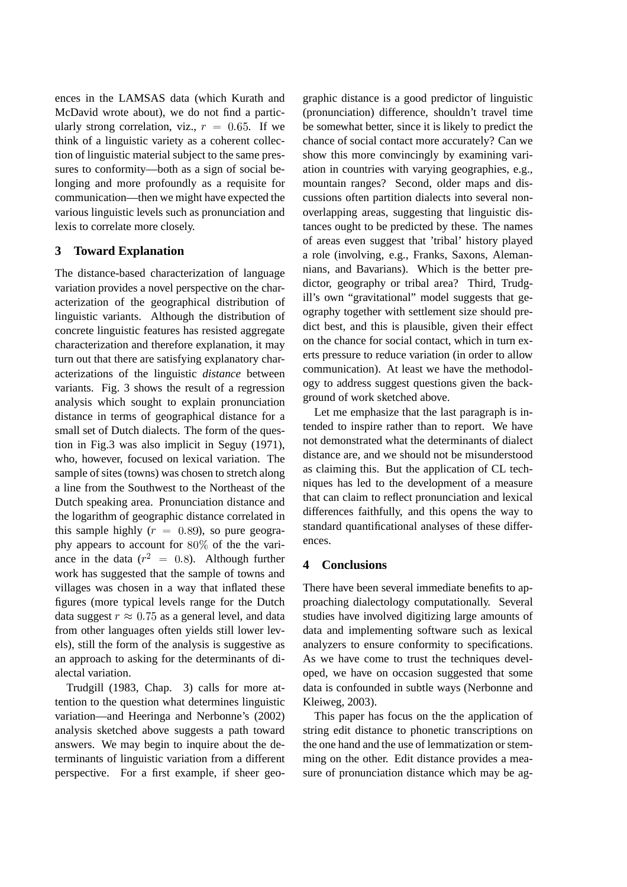ences in the LAMSAS data (which Kurath and McDavid wrote about), we do not find a particularly strong correlation, viz.,  $r = 0.65$ . If we think of a linguistic variety as a coherent collection of linguistic material subject to the same pressures to conformity—both as a sign of social belonging and more profoundly as a requisite for communication—then we might have expected the various linguistic levels such as pronunciation and lexis to correlate more closely.

# **3 Toward Explanation**

The distance-based characterization of language variation provides a novel perspective on the characterization of the geographical distribution of linguistic variants. Although the distribution of concrete linguistic features has resisted aggregate characterization and therefore explanation, it may turn out that there are satisfying explanatory characterizations of the linguistic *distance* between variants. Fig. 3 shows the result of a regression analysis which sought to explain pronunciation distance in terms of geographical distance for a small set of Dutch dialects. The form of the question in Fig.3 was also implicit in Seguy (1971), who, however, focused on lexical variation. The sample of sites (towns) was chosen to stretch along a line from the Southwest to the Northeast of the Dutch speaking area. Pronunciation distance and the logarithm of geographic distance correlated in this sample highly  $(r = 0.89)$ , so pure geography appears to account for  $80\%$  of the the variance in the data ( $r^2 = 0.8$ ). Although further work has suggested that the sample of towns and villages was chosen in a way that inflated these figures (more typical levels range for the Dutch data suggest  $r \approx 0.75$  as a general level, and data from other languages often yields still lower levels), still the form of the analysis is suggestive as an approach to asking for the determinants of dialectal variation.

Trudgill (1983, Chap. 3) calls for more attention to the question what determines linguistic variation—and Heeringa and Nerbonne's (2002) analysis sketched above suggests a path toward answers. We may begin to inquire about the determinants of linguistic variation from a different perspective. For a first example, if sheer geographic distance is a good predictor of linguistic (pronunciation) difference, shouldn't travel time be somewhat better, since it is likely to predict the chance of social contact more accurately? Can we show this more convincingly by examining variation in countries with varying geographies, e.g., mountain ranges? Second, older maps and discussions often partition dialects into several nonoverlapping areas, suggesting that linguistic distances ought to be predicted by these. The names of areas even suggest that 'tribal' history played a role (involving, e.g., Franks, Saxons, Alemannians, and Bavarians). Which is the better predictor, geography or tribal area? Third, Trudgill's own "gravitational" model suggests that geography together with settlement size should predict best, and this is plausible, given their effect on the chance for social contact, which in turn exerts pressure to reduce variation (in order to allow communication). At least we have the methodology to address suggest questions given the background of work sketched above.

Let me emphasize that the last paragraph is intended to inspire rather than to report. We have not demonstrated what the determinants of dialect distance are, and we should not be misunderstood as claiming this. But the application of CL techniques has led to the development of a measure that can claim to reflect pronunciation and lexical differences faithfully, and this opens the way to standard quantificational analyses of these differences.

### **4 Conclusions**

There have been several immediate benefits to approaching dialectology computationally. Several studies have involved digitizing large amounts of data and implementing software such as lexical analyzers to ensure conformity to specifications. As we have come to trust the techniques developed, we have on occasion suggested that some data is confounded in subtle ways (Nerbonne and Kleiweg, 2003).

This paper has focus on the the application of string edit distance to phonetic transcriptions on the one hand and the use of lemmatization or stemming on the other. Edit distance provides a measure of pronunciation distance which may be ag-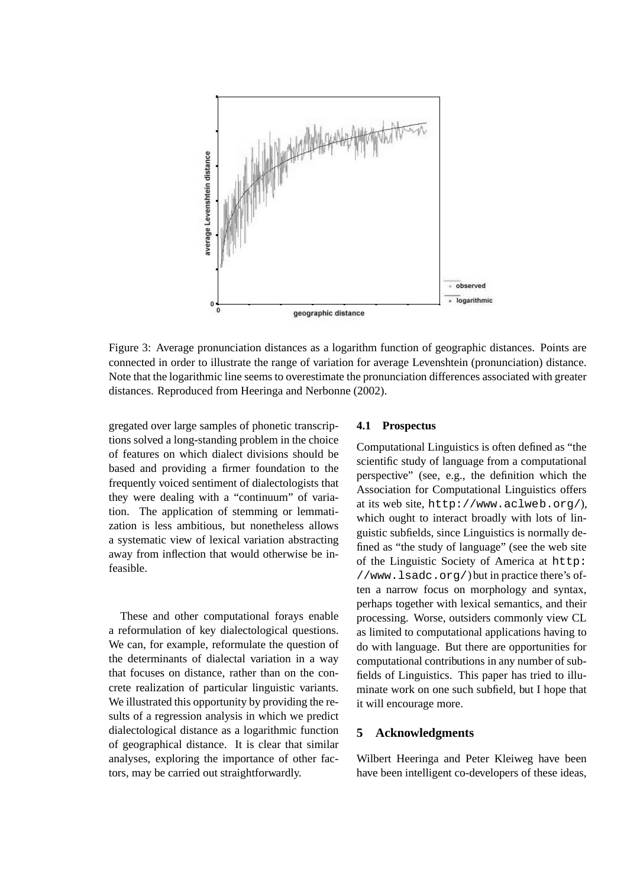

Figure 3: Average pronunciation distances as a logarithm function of geographic distances. Points are connected in order to illustrate the range of variation for average Levenshtein (pronunciation) distance. Note that the logarithmic line seems to overestimate the pronunciation differences associated with greater distances. Reproduced from Heeringa and Nerbonne (2002).

gregated over large samples of phonetic transcriptions solved a long-standing problem in the choice of features on which dialect divisions should be based and providing a firmer foundation to the frequently voiced sentiment of dialectologists that they were dealing with a "continuum" of variation. The application of stemming or lemmatization is less ambitious, but nonetheless allows a systematic view of lexical variation abstracting away from inflection that would otherwise be infeasible.

These and other computational forays enable a reformulation of key dialectological questions. We can, for example, reformulate the question of the determinants of dialectal variation in a way that focuses on distance, rather than on the concrete realization of particular linguistic variants. We illustrated this opportunity by providing the results of a regression analysis in which we predict dialectological distance as a logarithmic function of geographical distance. It is clear that similar analyses, exploring the importance of other factors, may be carried out straightforwardly.

#### **4.1 Prospectus**

Computational Linguistics is often defined as "the scientific study of language from a computational perspective" (see, e.g., the definition which the Association for Computational Linguistics offers at its web site, http://www.aclweb.org/), which ought to interact broadly with lots of linguistic subfields, since Linguistics is normally defined as "the study of language" (see the web site of the Linguistic Society of America at http: //www.lsadc.org/) but in practice there's often a narrow focus on morphology and syntax, perhaps together with lexical semantics, and their processing. Worse, outsiders commonly view CL as limited to computational applications having to do with language. But there are opportunities for computational contributions in any number of subfields of Linguistics. This paper has tried to illuminate work on one such subfield, but I hope that it will encourage more.

## **5 Acknowledgments**

Wilbert Heeringa and Peter Kleiweg have been have been intelligent co-developers of these ideas,